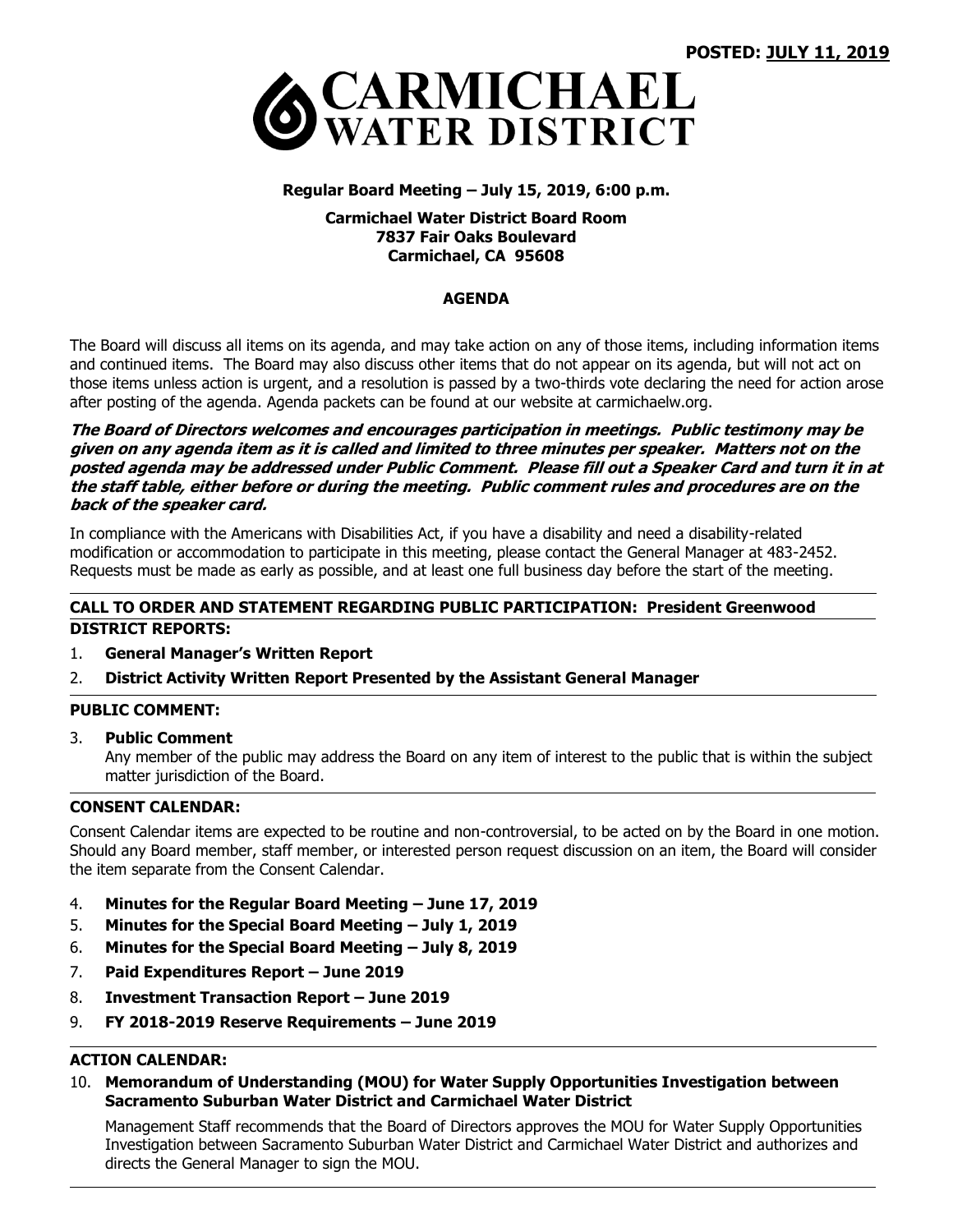

### **Regular Board Meeting – July 15, 2019, 6:00 p.m.**

### **Carmichael Water District Board Room 7837 Fair Oaks Boulevard Carmichael, CA 95608**

### **AGENDA**

The Board will discuss all items on its agenda, and may take action on any of those items, including information items and continued items. The Board may also discuss other items that do not appear on its agenda, but will not act on those items unless action is urgent, and a resolution is passed by a two-thirds vote declaring the need for action arose after posting of the agenda. Agenda packets can be found at our website at carmichaelw.org.

#### **The Board of Directors welcomes and encourages participation in meetings. Public testimony may be given on any agenda item as it is called and limited to three minutes per speaker. Matters not on the posted agenda may be addressed under Public Comment. Please fill out a Speaker Card and turn it in at the staff table, either before or during the meeting. Public comment rules and procedures are on the back of the speaker card.**

In compliance with the Americans with Disabilities Act, if you have a disability and need a disability-related modification or accommodation to participate in this meeting, please contact the General Manager at 483-2452. Requests must be made as early as possible, and at least one full business day before the start of the meeting.

# **CALL TO ORDER AND STATEMENT REGARDING PUBLIC PARTICIPATION: President Greenwood DISTRICT REPORTS:**

- 1. **General Manager's Written Report**
- 2. **District Activity Written Report Presented by the Assistant General Manager**

### **PUBLIC COMMENT:**

3. **Public Comment**

Any member of the public may address the Board on any item of interest to the public that is within the subject matter jurisdiction of the Board.

### **CONSENT CALENDAR:**

Consent Calendar items are expected to be routine and non-controversial, to be acted on by the Board in one motion. Should any Board member, staff member, or interested person request discussion on an item, the Board will consider the item separate from the Consent Calendar.

- 4. **Minutes for the Regular Board Meeting – June 17, 2019**
- 5. **Minutes for the Special Board Meeting – July 1, 2019**
- 6. **Minutes for the Special Board Meeting – July 8, 2019**
- 7. **Paid Expenditures Report – June 2019**
- 8. **Investment Transaction Report – June 2019**
- 9. **FY 2018-2019 Reserve Requirements – June 2019**

## **ACTION CALENDAR:**

10. **Memorandum of Understanding (MOU) for Water Supply Opportunities Investigation between Sacramento Suburban Water District and Carmichael Water District**

Management Staff recommends that the Board of Directors approves the MOU for Water Supply Opportunities Investigation between Sacramento Suburban Water District and Carmichael Water District and authorizes and directs the General Manager to sign the MOU.